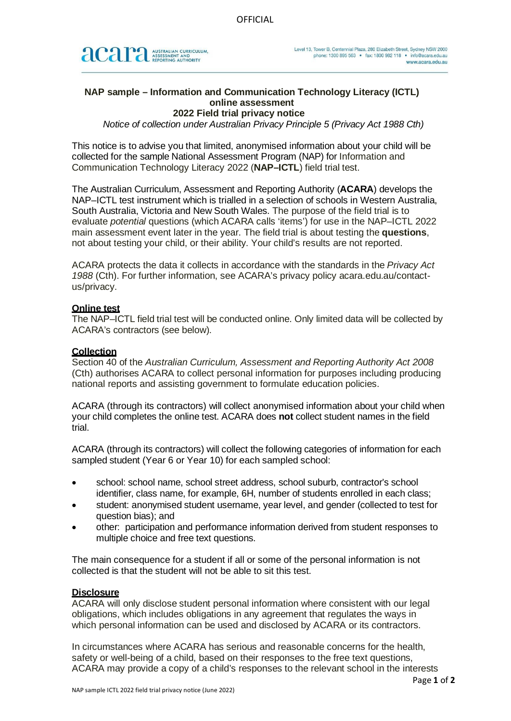

# **NAP sample – Information and Communication Technology Literacy (ICTL) online assessment**

# **2022 Field trial privacy notice**

*Notice of collection under Australian Privacy Principle 5 (Privacy Act 1988 Cth)*

This notice is to advise you that limited, anonymised information about your child will be collected for the sample National Assessment Program (NAP) for Information and Communication Technology Literacy 2022 (**NAP–ICTL**) field trial test.

The Australian Curriculum, Assessment and Reporting Authority (**ACARA**) develops the NAP–ICTL test instrument which is trialled in a selection of schools in Western Australia, South Australia, Victoria and New South Wales. The purpose of the field trial is to evaluate *potential* questions (which ACARA calls 'items') for use in the NAP–ICTL 2022 main assessment event later in the year. The field trial is about testing the **questions**, not about testing your child, or their ability. Your child's results are not reported.

ACARA protects the data it collects in accordance with the standards in the *Privacy Act 1988* (Cth). For further information, see ACARA's privacy policy acara.edu.au/contactus/privacy.

### **Online test**

The NAP–ICTL field trial test will be conducted online. Only limited data will be collected by ACARA's contractors (see below).

### **Collection**

Section 40 of the *Australian Curriculum, Assessment and Reporting Authority Act 2008* (Cth) authorises ACARA to collect personal information for purposes including producing national reports and assisting government to formulate education policies.

ACARA (through its contractors) will collect anonymised information about your child when your child completes the online test. ACARA does **not** collect student names in the field trial.

ACARA (through its contractors) will collect the following categories of information for each sampled student (Year 6 or Year 10) for each sampled school:

- school: school name, school street address, school suburb, contractor's school identifier, class name, for example, 6H, number of students enrolled in each class;
- student: anonymised student username, year level, and gender (collected to test for question bias); and
- other: participation and performance information derived from student responses to multiple choice and free text questions.

The main consequence for a student if all or some of the personal information is not collected is that the student will not be able to sit this test.

#### **Disclosure**

ACARA will only disclose student personal information where consistent with our legal obligations, which includes obligations in any agreement that regulates the ways in which personal information can be used and disclosed by ACARA or its contractors.

In circumstances where ACARA has serious and reasonable concerns for the health, safety or well-being of a child, based on their responses to the free text questions, ACARA may provide a copy of a child's responses to the relevant school in the interests